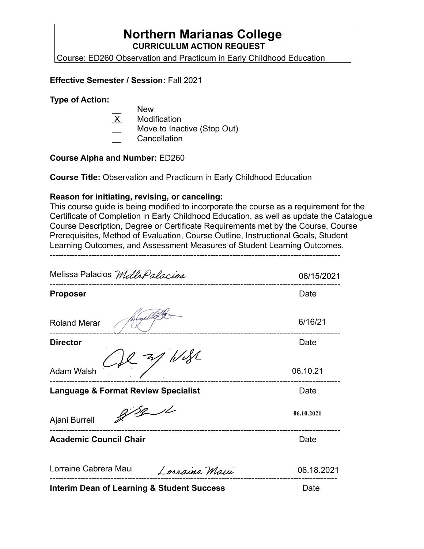# **Northern Marianas College CURRICULUM ACTION REQUEST**

Course: ED260 Observation and Practicum in Early Childhood Education

### **Effective Semester / Session:** Fall 2021

#### **Type of Action:**

- New
- X Modification
- Move to Inactive (Stop Out)
- **Cancellation**

#### **Course Alpha and Number:** ED260

**Course Title:** Observation and Practicum in Early Childhood Education

#### **Reason for initiating, revising, or canceling:**

This course guide is being modified to incorporate the course as a requirement for the Certificate of Completion in Early Childhood Education, as well as update the Catalogue Course Description, Degree or Certificate Requirements met by the Course, Course Prerequisites, Method of Evaluation, Course Outline, Instructional Goals, Student Learning Outcomes, and Assessment Measures of Student Learning Outcomes.

---------------------------------------------------------------------------------------------------------

| Melissa Palacios MdlrPalacios                  | 06/15/2021 |
|------------------------------------------------|------------|
| <b>Proposer</b>                                | Date       |
| <b>Roland Merar</b>                            | 6/16/21    |
| <b>Director</b>                                | Date       |
| 1/34<br>7/<br><b>Adam Walsh</b>                | 06.10.21   |
| <b>Language &amp; Format Review Specialist</b> | Date       |
| Ajani Burrell                                  | 06.10.2021 |
| <b>Academic Council Chair</b>                  | Date       |
| Lorraine Cabrera Maui<br>Lorraine Maui         | 06.18.2021 |
| Interim Dean of Learning & Student Success     | Date       |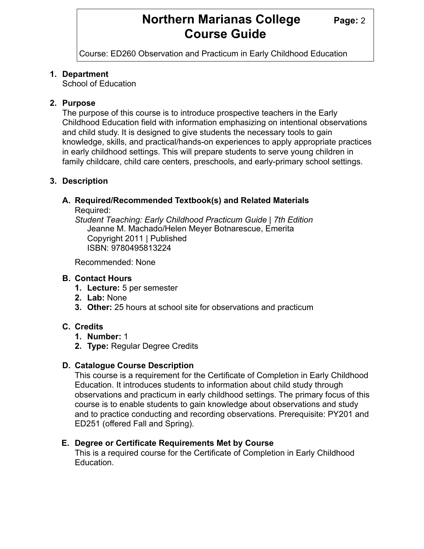# **Northern Marianas College Page: 2 Course Guide**

Course: ED260 Observation and Practicum in Early Childhood Education

# **1. Department**

School of Education

# **2. Purpose**

The purpose of this course is to introduce prospective teachers in the Early Childhood Education field with information emphasizing on intentional observations and child study. It is designed to give students the necessary tools to gain knowledge, skills, and practical/hands-on experiences to apply appropriate practices in early childhood settings. This will prepare students to serve young children in family childcare, child care centers, preschools, and early-primary school settings.

# **3. Description**

# **A. Required/Recommended Textbook(s) and Related Materials**

Required:

*Student Teaching: Early Childhood Practicum Guide | 7th Edition* Jeanne M. Machado/Helen Meyer Botnarescue, Emerita Copyright 2011 | Published ISBN: 9780495813224

Recommended: None

# **B. Contact Hours**

- **1. Lecture:** 5 per semester
- **2. Lab:** None
- **3. Other:** 25 hours at school site for observations and practicum

# **C. Credits**

- **1. Number:** 1
- **2. Type:** Regular Degree Credits

# **D. Catalogue Course Description**

This course is a requirement for the Certificate of Completion in Early Childhood Education. It introduces students to information about child study through observations and practicum in early childhood settings. The primary focus of this course is to enable students to gain knowledge about observations and study and to practice conducting and recording observations. Prerequisite: PY201 and ED251 (offered Fall and Spring).

# **E. Degree or Certificate Requirements Met by Course**

This is a required course for the Certificate of Completion in Early Childhood **Education**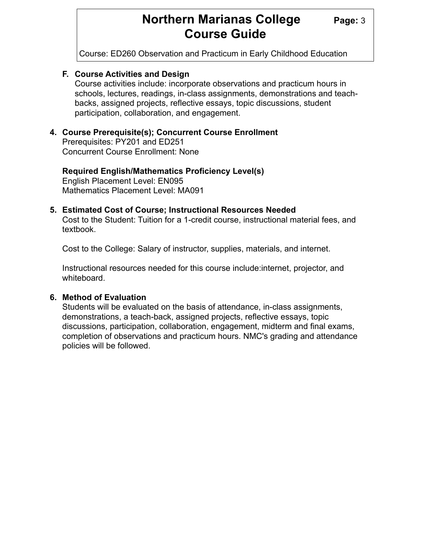# **Northern Marianas College Page: 3 Course Guide**

Course: ED260 Observation and Practicum in Early Childhood Education

# **F. Course Activities and Design**

Course activities include: incorporate observations and practicum hours in schools, lectures, readings, in-class assignments, demonstrations and teachbacks, assigned projects, reflective essays, topic discussions, student participation, collaboration, and engagement.

# **4. Course Prerequisite(s); Concurrent Course Enrollment**

 Prerequisites: PY201 and ED251 Concurrent Course Enrollment: None

# **Required English/Mathematics Proficiency Level(s)**

 English Placement Level: EN095 Mathematics Placement Level: MA091

#### **5. Estimated Cost of Course; Instructional Resources Needed**

 Cost to the Student: Tuition for a 1-credit course, instructional material fees, and textbook.

Cost to the College: Salary of instructor, supplies, materials, and internet.

 Instructional resources needed for this course include:internet, projector, and whiteboard.

#### **6. Method of Evaluation**

 Students will be evaluated on the basis of attendance, in-class assignments, demonstrations, a teach-back, assigned projects, reflective essays, topic discussions, participation, collaboration, engagement, midterm and final exams, completion of observations and practicum hours. NMC's grading and attendance policies will be followed.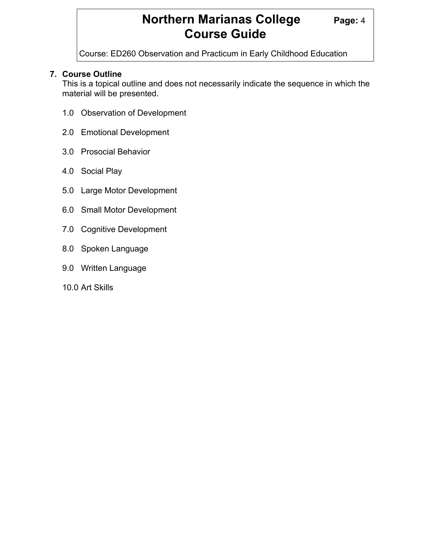# **Northern Marianas College Page: 4 Course Guide**

Course: ED260 Observation and Practicum in Early Childhood Education

# **7. Course Outline**

 This is a topical outline and does not necessarily indicate the sequence in which the material will be presented.

- 1.0 Observation of Development
- 2.0 Emotional Development
- 3.0 Prosocial Behavior
- 4.0 Social Play
- 5.0 Large Motor Development
- 6.0 Small Motor Development
- 7.0 Cognitive Development
- 8.0 Spoken Language
- 9.0 Written Language
- 10.0 Art Skills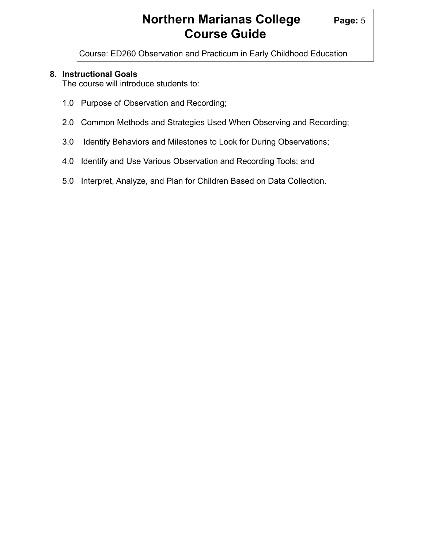# **Northern Marianas College Page: 5 Course Guide**

Course: ED260 Observation and Practicum in Early Childhood Education

# **8. Instructional Goals**

The course will introduce students to:

- 1.0 Purpose of Observation and Recording;
- 2.0 Common Methods and Strategies Used When Observing and Recording;
- 3.0 Identify Behaviors and Milestones to Look for During Observations;
- 4.0 Identify and Use Various Observation and Recording Tools; and
- 5.0 Interpret, Analyze, and Plan for Children Based on Data Collection.